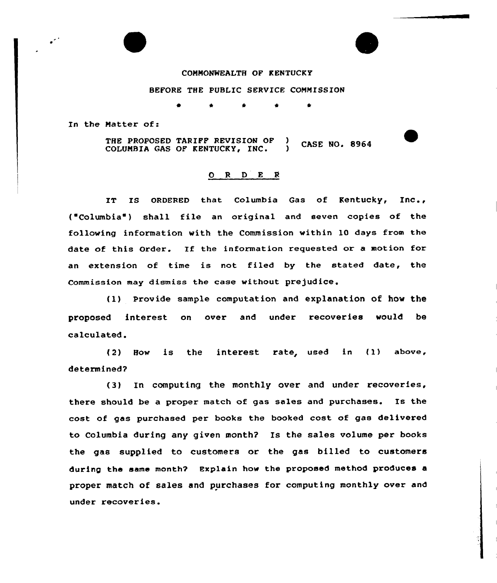## COMNONWEALTH OF KENTUCKY

## BEFORE THE PUBLIC SERVICE CONNISSION

In the Natter of:

THE PROPOSED TARIFF REVISION OF )<br>COLUMBIA GAS OF KENTUCKY, INC. **CASE NO. 8964** COLUNBIA GAS OF KENTUCKy, INC. )

## 0 <sup>R</sup> <sup>D</sup> E <sup>R</sup>

IT IS ORDERED that Columbia Gas of Kentucky, Inc.,  $('Columbia")$  shall file an original and seven copies of the following information with the Commission within 10 days from the date of this Order. If the information requested or <sup>a</sup> motion for an extension of time is not filed by the stated date, the Commission may dismiss the case without prejudice,

(l) Provide sample computation and explanation of how the proposed interest on over and under recoveries would be calculated.

(2) How is the interest rate, used in (1) above, determined?

(3) In computing the monthly over and under recoveries. there should be a proper match of gas sales and purchases. Is the cost of gas purchased per books the booked cost of gas delivexed to Columbia during any given month? Is the sales volume per books the gas supplied to customers or the gas billed to customers during the same month? Explain how the proposed method produces a pxopex match of sales and purchases fox computing monthly over and under recoveries.